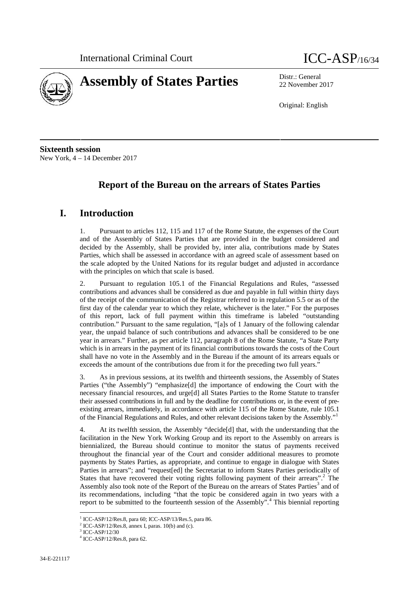



22 November 2017

Original: English

**Sixteenth session** New York, 4 – 14 December 2017

# **Report of the Bureau on the arrears of States Parties**

## **I. Introduction**

1. Pursuant to articles 112, 115 and 117 of the Rome Statute, the expenses of the Court and of the Assembly of States Parties that are provided in the budget considered and decided by the Assembly, shall be provided by, inter alia, contributions made by States Parties, which shall be assessed in accordance with an agreed scale of assessment based on the scale adopted by the United Nations for its regular budget and adjusted in accordance with the principles on which that scale is based.

2. Pursuant to regulation 105.1 of the Financial Regulations and Rules, "assessed contributions and advances shall be considered as due and payable in full within thirty days of the receipt of the communication of the Registrar referred to in regulation 5.5 or as of the first day of the calendar year to which they relate, whichever is the later." For the purposes of this report, lack of full payment within this timeframe is labeled "outstanding contribution." Pursuant to the same regulation, "[a]s of 1 January of the following calendar year, the unpaid balance of such contributions and advances shall be considered to be one year in arrears." Further, as per article 112, paragraph 8 of the Rome Statute, "a State Party which is in arrears in the payment of its financial contributions towards the costs of the Court shall have no vote in the Assembly and in the Bureau if the amount of its arrears equals or exceeds the amount of the contributions due from it for the preceding two full years."

3. As in previous sessions, at its twelfth and thirteenth sessions, the Assembly of States Parties ("the Assembly") "emphasize[d] the importance of endowing the Court with the necessary financial resources, and urge[d] all States Parties to the Rome Statute to transfer their assessed contributions in full and by the deadline for contributions or, in the event of pre existing arrears, immediately, in accordance with article 115 of the Rome Statute, rule 105.1 of the Financial Regulations and Rules, and other relevant decisions taken by the Assembly."<sup>1</sup>

4. At its twelfth session, the Assembly "decide[d] that, with the understanding that the facilitation in the New York Working Group and its report to the Assembly on arrears is biennialized, the Bureau should continue to monitor the status of payments received throughout the financial year of the Court and consider additional measures to promote payments by States Parties, as appropriate, and continue to engage in dialogue with States Parties in arrears"; and "request[ed] the Secretariat to inform States Parties periodically of States that have recovered their voting rights following payment of their arrears".<sup>2</sup> The Assembly also took note of the Report of the Bureau on the arrears of States Parties<sup>3</sup> and of its recommendations, including "that the topic be considered again in two years with a report to be submitted to the fourteenth session of the Assembly".<sup>4</sup> This biennial reporting

<sup>1</sup> ICC-ASP/12/Res.8, para 60; ICC-ASP/13/Res.5, para 86.

 $2$  ICC-ASP/12/Res.8, annex I, paras. 10(b) and (c).

<sup>3</sup> ICC-ASP/12/30

<sup>4</sup> ICC-ASP/12/Res.8, para 62.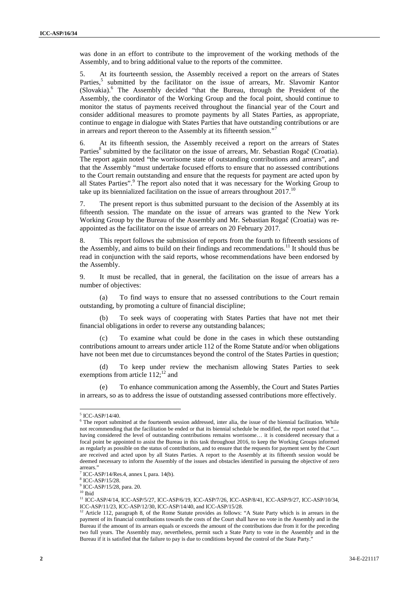was done in an effort to contribute to the improvement of the working methods of the Assembly, and to bring additional value to the reports of the committee.

5. At its fourteenth session, the Assembly received a report on the arrears of States Parties,<sup>5</sup> submitted by the facilitator on the issue of arrears, Mr. Slavomir Kantor (Slovakia).<sup>6</sup> The Assembly decided "that the Bureau, through the President of the Assembly, the coordinator of the Working Group and the focal point, should continue to monitor the status of payments received throughout the financial year of the Court and consider additional measures to promote payments by all States Parties, as appropriate, continue to engage in dialogue with States Parties that have outstanding contributions or are in arrears and report thereon to the Assembly at its fifteenth session."

6. At its fifteenth session, the Assembly received a report on the arrears of States Parties<sup>8</sup> submitted by the facilitator on the issue of arrears, Mr. Sebastian Roga (Croatia). The report again noted "the worrisome state of outstanding contributions and arrears", and that the Assembly "must undertake focused efforts to ensure that no assessed contributions to the Court remain outstanding and ensure that the requests for payment are acted upon by all States Parties".<sup>9</sup> The report also noted that it was necessary for the Working Group to take up its biennialized facilitation on the issue of arrears throughout  $2017$ .<sup>10</sup>

7. The present report is thus submitted pursuant to the decision of the Assembly at its fifteenth session. The mandate on the issue of arrears was granted to the New York Working Group by the Bureau of the Assembly and Mr. Sebastian Roga (Croatia) was reappointed as the facilitator on the issue of arrears on 20 February 2017.

8. This report follows the submission of reports from the fourth to fifteenth sessions of the Assembly, and aims to build on their findings and recommendations.<sup>11</sup> It should thus be read in conjunction with the said reports, whose recommendations have been endorsed by the Assembly.

9. It must be recalled, that in general, the facilitation on the issue of arrears has a number of objectives:

(a) To find ways to ensure that no assessed contributions to the Court remain outstanding, by promoting a culture of financial discipline;

(b) To seek ways of cooperating with States Parties that have not met their financial obligations in order to reverse any outstanding balances;

(c) To examine what could be done in the cases in which these outstanding contributions amount to arrears under article 112 of the Rome Statute and/or when obligations have not been met due to circumstances beyond the control of the States Parties in question;

(d) To keep under review the mechanism allowing States Parties to seek exemptions from article  $112$ ;<sup>12</sup> and

(e) To enhance communication among the Assembly, the Court and States Parties in arrears, so as to address the issue of outstanding assessed contributions more effectively.

 $\frac{5}{6}$  ICC-ASP/14/40.<br><sup>6</sup> The report submitted at the fourteenth session addressed, inter alia, the issue of the biennial facilitation. While not recommending that the facilitation be ended or that its biennial schedule be modified, the report noted that "… having considered the level of outstanding contributions remains worrisome… it is considered necessary that a focal point be appointed to assist the Bureau in this task throughout 2016, to keep the Working Groups informed as regularly as possible on the status of contributions, and to ensure that the requests for payment sent by the Court are received and acted upon by all States Parties. A report to the Assembly at its fifteenth session would be deemed necessary to inform the Assembly of the issues and obstacles identified in pursuing the objective of zero arrears."

 $7$  ICC-ASP/14/Res.4, annex I, para. 14(b).  $8$  ICC-ASP/15/28.

<sup>9</sup> ICC-ASP/15/28, para. 20.

 $10$  Ibid

<sup>&</sup>lt;sup>11</sup> ICC-ASP/4/14, ICC-ASP/5/27, ICC-ASP/6/19, ICC-ASP/7/26, ICC-ASP/8/41, ICC-ASP/9/27, ICC-ASP/10/34, ICC-ASP/11/23, ICC-ASP/12/30, ICC-ASP/14/40, and ICC-ASP/15/28.<br><sup>12</sup> Article 112, paragraph 8, of the Rome Statute provides as follows:

Article 112, paragraph 8, of the Rome Statute provides as follows: "A State Party which is in arrears in the payment of its financial contributions towards the costs of the Court shall have no vote in the Assembly and in the Bureau if the amount of its arrears equals or exceeds the amount of the contributions due from it for the preceding two full years. The Assembly may, nevertheless, permit such a State Party to vote in the Assembly and in the Bureau if it is satisfied that the failure to pay is due to conditions beyond the control of the State Party."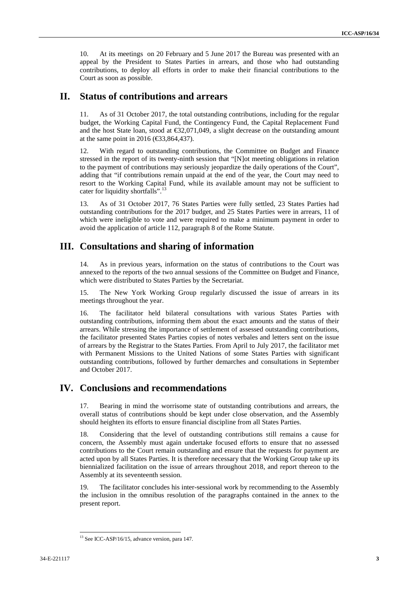10. At its meetings on 20 February and 5 June 2017 the Bureau was presented with an appeal by the President to States Parties in arrears, and those who had outstanding contributions, to deploy all efforts in order to make their financial contributions to the Court as soon as possible.

### **II. Status of contributions and arrears**

11. As of 31 October 2017, the total outstanding contributions, including for the regular budget, the Working Capital Fund, the Contingency Fund, the Capital Replacement Fund and the host State loan, stood at €32,071,049, a slight decrease on the outstanding amount at the same point in 2016 ( $\text{\textsterling}3,864,437$ ).

12. With regard to outstanding contributions, the Committee on Budget and Finance stressed in the report of its twenty-ninth session that "[N]ot meeting obligations in relation to the payment of contributions may seriously jeopardize the daily operations of the Court", adding that "if contributions remain unpaid at the end of the year, the Court may need to resort to the Working Capital Fund, while its available amount may not be sufficient to cater for liquidity shortfalls".<sup>13</sup>

13. As of 31 October 2017, 76 States Parties were fully settled, 23 States Parties had outstanding contributions for the 2017 budget, and 25 States Parties were in arrears, 11 of which were ineligible to vote and were required to make a minimum payment in order to avoid the application of article 112, paragraph 8 of the Rome Statute.

#### **III. Consultations and sharing of information**

14. As in previous years, information on the status of contributions to the Court was annexed to the reports of the two annual sessions of the Committee on Budget and Finance, which were distributed to States Parties by the Secretariat.

15. The New York Working Group regularly discussed the issue of arrears in its meetings throughout the year.

16. The facilitator held bilateral consultations with various States Parties with outstanding contributions, informing them about the exact amounts and the status of their arrears. While stressing the importance of settlement of assessed outstanding contributions, the facilitator presented States Parties copies of notes verbales and letters sent on the issue of arrears by the Registrar to the States Parties. From April to July 2017, the facilitator met with Permanent Missions to the United Nations of some States Parties with significant outstanding contributions, followed by further demarches and consultations in September and October 2017.

#### **IV. Conclusions and recommendations**

17. Bearing in mind the worrisome state of outstanding contributions and arrears, the overall status of contributions should be kept under close observation, and the Assembly should heighten its efforts to ensure financial discipline from all States Parties.

18. Considering that the level of outstanding contributions still remains a cause for concern, the Assembly must again undertake focused efforts to ensure that no assessed contributions to the Court remain outstanding and ensure that the requests for payment are acted upon by all States Parties. It is therefore necessary that the Working Group take up its biennialized facilitation on the issue of arrears throughout 2018, and report thereon to the Assembly at its seventeenth session.

19. The facilitator concludes his inter-sessional work by recommending to the Assembly the inclusion in the omnibus resolution of the paragraphs contained in the annex to the present report.

<sup>&</sup>lt;sup>13</sup> See ICC-ASP/16/15, advance version, para 147.